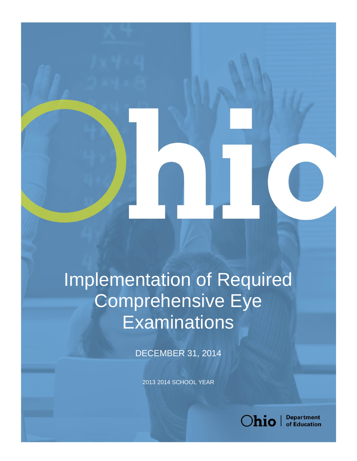## Implementation of Required Comprehensive Eye **Examinations**

DECEMBER 31, 2014

- 2013 2014 SCHOOL YEAR



**Department**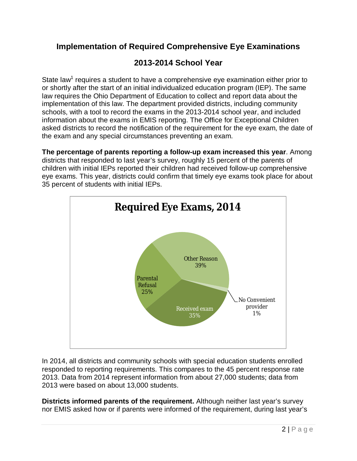## **Implementation of Required Comprehensive Eye Examinations**

## **2013-2014 School Year**

State law<sup>1</sup> requires a student to have a comprehensive eye examination either prior to or shortly after the start of an initial individualized education program (IEP). The same law requires the Ohio Department of Education to collect and report data about the implementation of this law. The department provided districts, including community schools, with a tool to record the exams in the 2013-2014 school year, and included information about the exams in EMIS reporting. The Office for Exceptional Children asked districts to record the notification of the requirement for the eye exam, the date of the exam and any special circumstances preventing an exam.

 **The percentage of parents reporting a follow-up exam increased this year**. Among districts that responded to last year's survey, roughly 15 percent of the parents of children with initial IEPs reported their children had received follow-up comprehensive eye exams. This year, districts could confirm that timely eye exams took place for about 35 percent of students with initial IEPs.



 In 2014, all districts and community schools with special education students enrolled responded to reporting requirements. This compares to the 45 percent response rate 2013. Data from 2014 represent information from about 27,000 students; data from 2013 were based on about 13,000 students.

 **Districts informed parents of the requirement.** Although neither last year's survey nor EMIS asked how or if parents were informed of the requirement, during last year's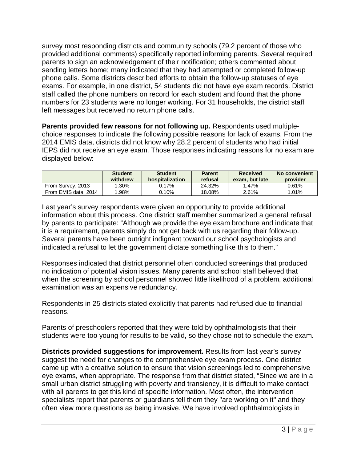survey most responding districts and community schools (79.2 percent of those who provided additional comments) specifically reported informing parents. Several required parents to sign an acknowledgement of their notification; others commented about sending letters home; many indicated that they had attempted or completed follow-up phone calls. Some districts described efforts to obtain the follow-up statuses of eye exams. For example, in one district, 54 students did not have eye exam records. District staff called the phone numbers on record for each student and found that the phone numbers for 23 students were no longer working. For 31 households, the district staff left messages but received no return phone calls.

Parents provided few reasons for not following up. Respondents used multiple- choice responses to indicate the following possible reasons for lack of exams. From the 2014 EMIS data, districts did not know why 28.2 percent of students who had initial IEPS did not receive an eye exam. Those responses indicating reasons for no exam are displayed below:

|                      | <b>Student</b><br>withdrew | <b>Student</b><br>hospitalization | <b>Parent</b><br>refusal | <b>Received</b><br>exam. but late | No convenient<br>provider |
|----------------------|----------------------------|-----------------------------------|--------------------------|-----------------------------------|---------------------------|
| From Survey, 2013    | 1.30%                      | 0.17%                             | 24.32%                   | 1.47%                             | $0.61\%$                  |
| From EMIS data, 2014 | $.98\%$                    | $0.10\%$                          | 18.08%                   | 2.61%                             | 1.01%                     |

 Last year's survey respondents were given an opportunity to provide additional information about this process. One district staff member summarized a general refusal by parents to participate: "Although we provide the eye exam brochure and indicate that it is a requirement, parents simply do not get back with us regarding their follow-up. Several parents have been outright indignant toward our school psychologists and indicated a refusal to let the government dictate something like this to them."

 Responses indicated that district personnel often conducted screenings that produced no indication of potential vision issues. Many parents and school staff believed that when the screening by school personnel showed little likelihood of a problem, additional examination was an expensive redundancy.

 Respondents in 25 districts stated explicitly that parents had refused due to financial reasons.

reasons.<br>Parents of preschoolers reported that they were told by ophthalmologists that their students were too young for results to be valid, so they chose not to schedule the exam.

 **Districts provided suggestions for improvement.** Results from last year's survey suggest the need for changes to the comprehensive eye exam process. One district came up with a creative solution to ensure that vision screenings led to comprehensive eye exams, when appropriate. The response from that district stated, "Since we are in a small urban district struggling with poverty and transiency, it is difficult to make contact with all parents to get this kind of specific information. Most often, the intervention specialists report that parents or guardians tell them they "are working on it" and they often view more questions as being invasive. We have involved ophthalmologists in